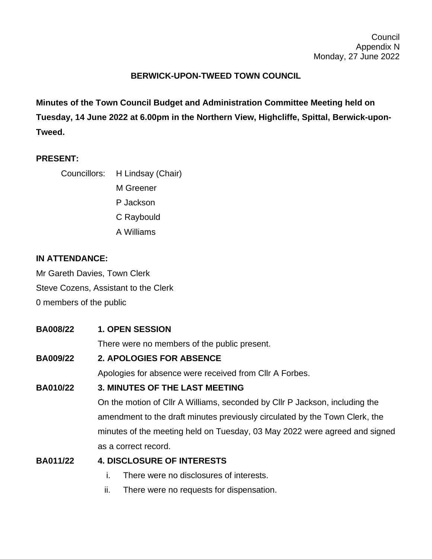## **BERWICK-UPON-TWEED TOWN COUNCIL**

**Minutes of the Town Council Budget and Administration Committee Meeting held on Tuesday, 14 June 2022 at 6.00pm in the Northern View, Highcliffe, Spittal, Berwick-upon-Tweed.**

### **PRESENT:**

Councillors: H Lindsay (Chair) M Greener

P Jackson

C Raybould

A Williams

#### **IN ATTENDANCE:**

Mr Gareth Davies, Town Clerk Steve Cozens, Assistant to the Clerk 0 members of the public

**BA008/22 1. OPEN SESSION**

There were no members of the public present.

### **BA009/22 2. APOLOGIES FOR ABSENCE**

Apologies for absence were received from Cllr A Forbes.

### **BA010/22 3. MINUTES OF THE LAST MEETING**

On the motion of Cllr A Williams, seconded by Cllr P Jackson, including the amendment to the draft minutes previously circulated by the Town Clerk, the minutes of the meeting held on Tuesday, 03 May 2022 were agreed and signed as a correct record.

### **BA011/22 4. DISCLOSURE OF INTERESTS**

- i. There were no disclosures of interests.
- ii. There were no requests for dispensation.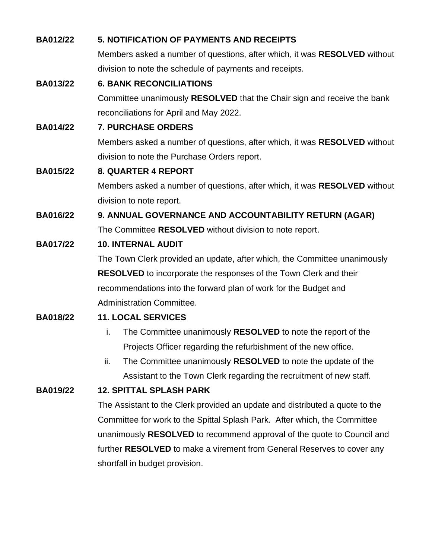| <b>BA012/22</b> | <b>5. NOTIFICATION OF PAYMENTS AND RECEIPTS</b>                                  |
|-----------------|----------------------------------------------------------------------------------|
|                 | Members asked a number of questions, after which, it was RESOLVED without        |
|                 | division to note the schedule of payments and receipts.                          |
| <b>BA013/22</b> | <b>6. BANK RECONCILIATIONS</b>                                                   |
|                 | Committee unanimously RESOLVED that the Chair sign and receive the bank          |
|                 | reconciliations for April and May 2022.                                          |
| <b>BA014/22</b> | 7. PURCHASE ORDERS                                                               |
|                 | Members asked a number of questions, after which, it was <b>RESOLVED</b> without |
|                 | division to note the Purchase Orders report.                                     |
| <b>BA015/22</b> | <b>8. QUARTER 4 REPORT</b>                                                       |
|                 | Members asked a number of questions, after which, it was RESOLVED without        |
|                 | division to note report.                                                         |
| <b>BA016/22</b> | 9. ANNUAL GOVERNANCE AND ACCOUNTABILITY RETURN (AGAR)                            |
|                 | The Committee RESOLVED without division to note report.                          |
| <b>BA017/22</b> | <b>10. INTERNAL AUDIT</b>                                                        |
|                 | The Town Clerk provided an update, after which, the Committee unanimously        |
|                 | <b>RESOLVED</b> to incorporate the responses of the Town Clerk and their         |
|                 | recommendations into the forward plan of work for the Budget and                 |
|                 | <b>Administration Committee.</b>                                                 |
| <b>BA018/22</b> | <b>11. LOCAL SERVICES</b>                                                        |
|                 | The Committee unanimously RESOLVED to note the report of the<br>i.               |
|                 | Projects Officer regarding the refurbishment of the new office.                  |
|                 | ii.<br>The Committee unanimously RESOLVED to note the update of the              |
|                 | Assistant to the Town Clerk regarding the recruitment of new staff.              |
| <b>BA019/22</b> | <b>12. SPITTAL SPLASH PARK</b>                                                   |
|                 | The Assistant to the Clerk provided an update and distributed a quote to the     |
|                 | Committee for work to the Spittal Splash Park. After which, the Committee        |
|                 | unanimously RESOLVED to recommend approval of the quote to Council and           |
|                 | further RESOLVED to make a virement from General Reserves to cover any           |

shortfall in budget provision.